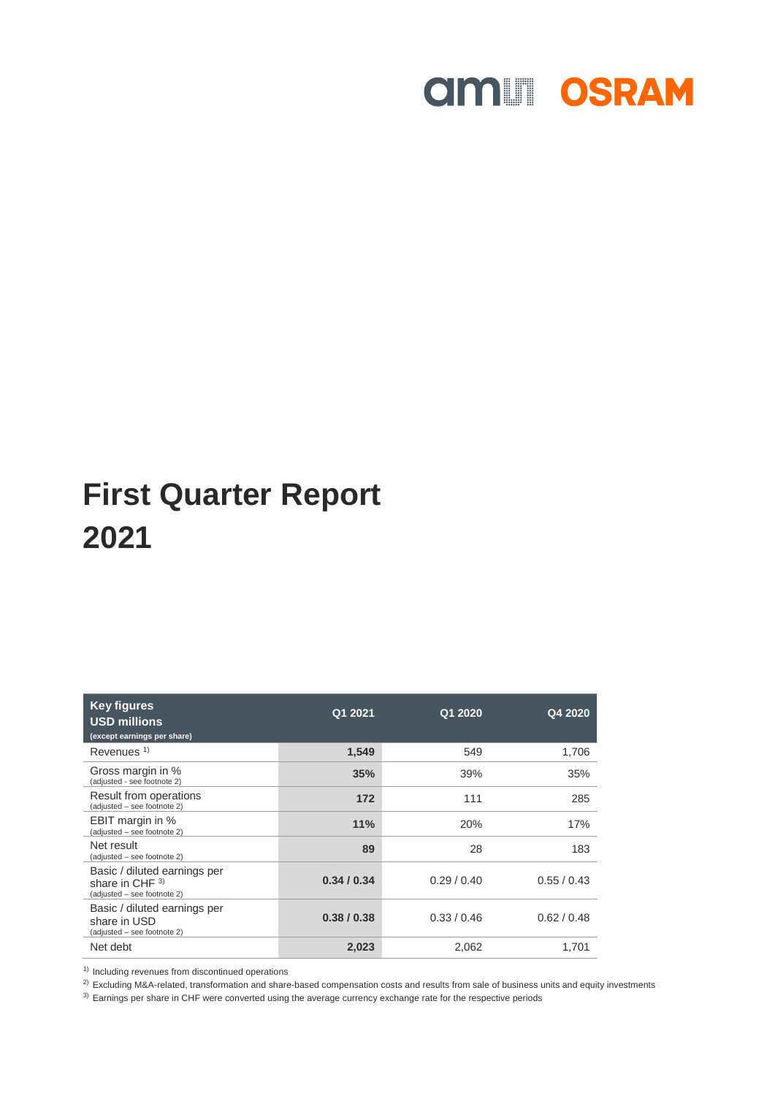

| <b>Key figures</b><br><b>USD millions</b><br>(except earnings per share)         | Q1 2021   | Q1 2020   | Q4 2020     |
|----------------------------------------------------------------------------------|-----------|-----------|-------------|
| Revenues <sup>1)</sup>                                                           | 1,549     | 549       | 1,706       |
| Gross margin in %<br>(adjusted - see footnote 2)                                 | 35%       | 39%       | 35%         |
| Result from operations<br>(adjusted - see footnote 2)                            | 172       | 111       | 285         |
| EBIT margin in %<br>(adjusted - see footnote 2)                                  | 11%       | 20%       | 17%         |
| Net result<br>(adjusted – see footnote 2)                                        | 89        | 28        | 183         |
| Basic / diluted earnings per<br>share in CHF $3)$<br>(adjusted - see footnote 2) | 0.34/0.34 | 0.29/0.40 | 0.55/0.43   |
| Basic / diluted earnings per<br>share in USD<br>(adjusted - see footnote 2)      | 0.38/0.38 | 0.33/0.46 | 0.62 / 0.48 |
| Net debt                                                                         | 2,023     | 2,062     | 1.701       |

<sup>1)</sup> Including revenues from discontinued operations

 $^{2)}$  Excluding M&A-related, transformation and share-based compensation costs and results from sale of business units and equity investments

 $3)$  Earnings per share in CHF were converted using the average currency exchange rate for the respective periods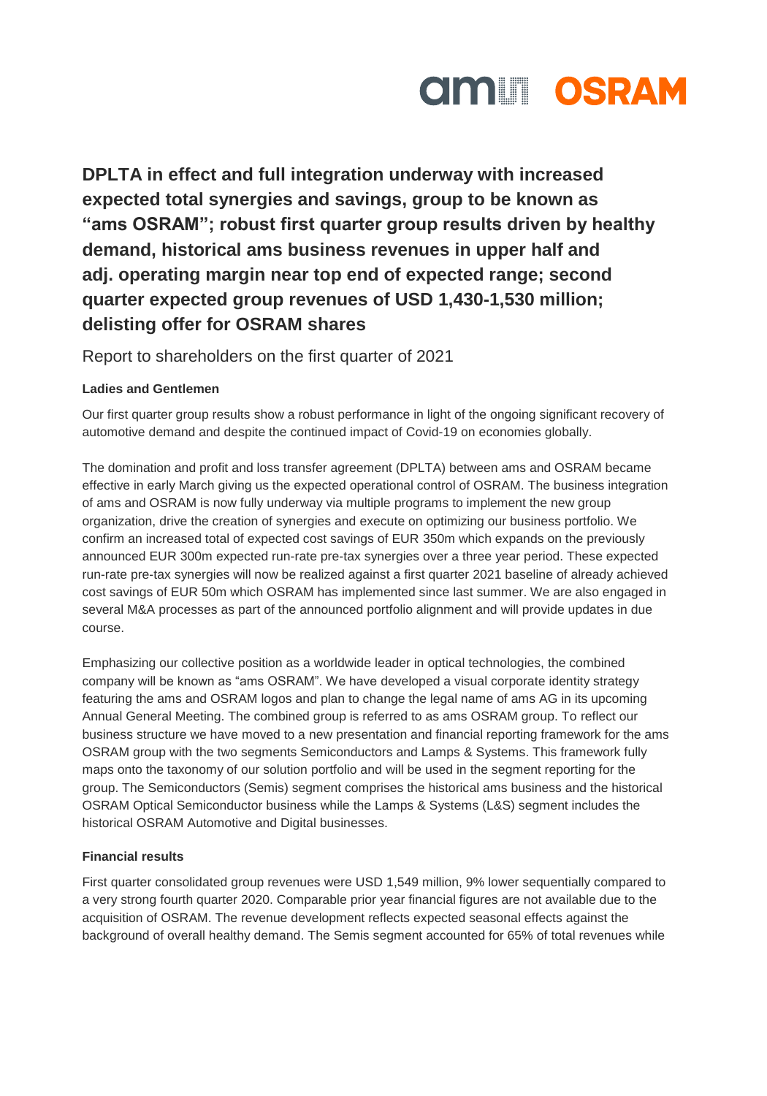

**DPLTA in effect and full integration underway with increased expected total synergies and savings, group to be known as "ams OSRAM"; robust first quarter group results driven by healthy demand, historical ams business revenues in upper half and adj. operating margin near top end of expected range; second quarter expected group revenues of USD 1,430-1,530 million; delisting offer for OSRAM shares**

Report to shareholders on the first quarter of 2021

### **Ladies and Gentlemen**

Our first quarter group results show a robust performance in light of the ongoing significant recovery of automotive demand and despite the continued impact of Covid-19 on economies globally.

The domination and profit and loss transfer agreement (DPLTA) between ams and OSRAM became effective in early March giving us the expected operational control of OSRAM. The business integration of ams and OSRAM is now fully underway via multiple programs to implement the new group organization, drive the creation of synergies and execute on optimizing our business portfolio. We confirm an increased total of expected cost savings of EUR 350m which expands on the previously announced EUR 300m expected run-rate pre-tax synergies over a three year period. These expected run-rate pre-tax synergies will now be realized against a first quarter 2021 baseline of already achieved cost savings of EUR 50m which OSRAM has implemented since last summer. We are also engaged in several M&A processes as part of the announced portfolio alignment and will provide updates in due course.

Emphasizing our collective position as a worldwide leader in optical technologies, the combined company will be known as "ams OSRAM". We have developed a visual corporate identity strategy featuring the ams and OSRAM logos and plan to change the legal name of ams AG in its upcoming Annual General Meeting. The combined group is referred to as ams OSRAM group. To reflect our business structure we have moved to a new presentation and financial reporting framework for the ams OSRAM group with the two segments Semiconductors and Lamps & Systems. This framework fully maps onto the taxonomy of our solution portfolio and will be used in the segment reporting for the group. The Semiconductors (Semis) segment comprises the historical ams business and the historical OSRAM Optical Semiconductor business while the Lamps & Systems (L&S) segment includes the historical OSRAM Automotive and Digital businesses.

### **Financial results**

First quarter consolidated group revenues were USD 1,549 million, 9% lower sequentially compared to a very strong fourth quarter 2020. Comparable prior year financial figures are not available due to the acquisition of OSRAM. The revenue development reflects expected seasonal effects against the background of overall healthy demand. The Semis segment accounted for 65% of total revenues while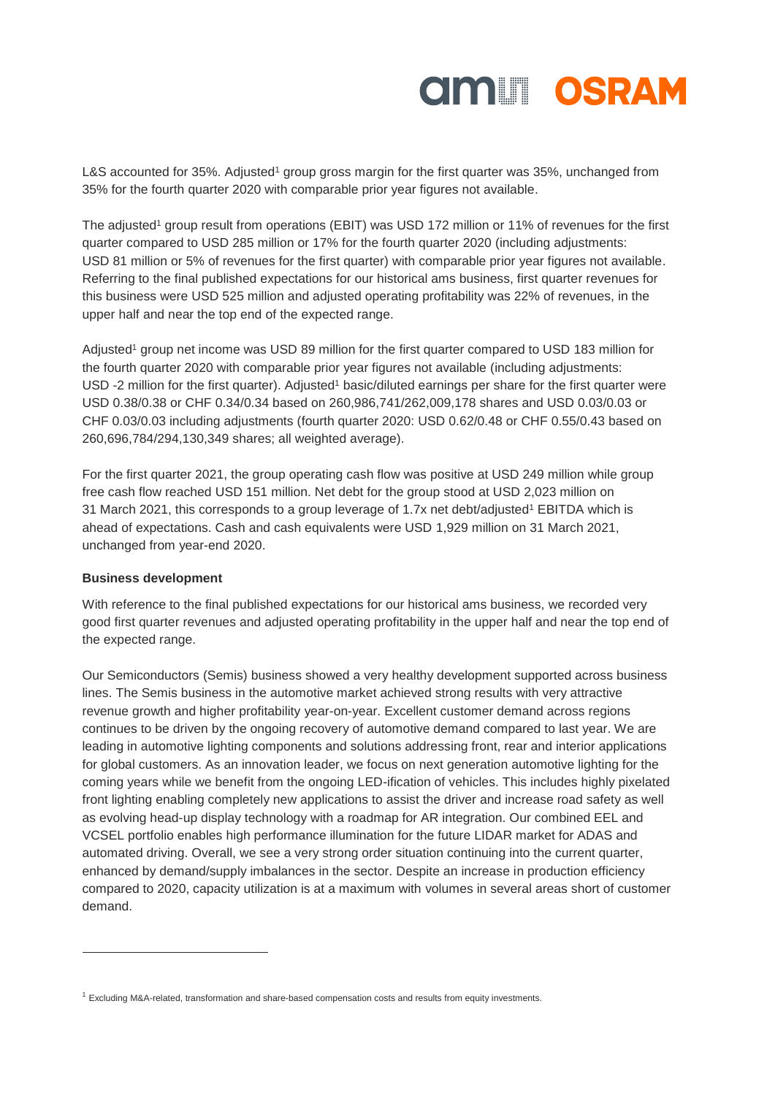

L&S accounted for 35%. Adjusted<sup>1</sup> group gross margin for the first quarter was 35%, unchanged from 35% for the fourth quarter 2020 with comparable prior year figures not available.

The adjusted<sup>1</sup> group result from operations (EBIT) was USD 172 million or 11% of revenues for the first quarter compared to USD 285 million or 17% for the fourth quarter 2020 (including adjustments: USD 81 million or 5% of revenues for the first quarter) with comparable prior year figures not available. Referring to the final published expectations for our historical ams business, first quarter revenues for this business were USD 525 million and adjusted operating profitability was 22% of revenues, in the upper half and near the top end of the expected range.

Adjusted<sup>1</sup> group net income was USD 89 million for the first quarter compared to USD 183 million for the fourth quarter 2020 with comparable prior year figures not available (including adjustments: USD -2 million for the first quarter). Adjusted<sup>1</sup> basic/diluted earnings per share for the first quarter were USD 0.38/0.38 or CHF 0.34/0.34 based on 260,986,741/262,009,178 shares and USD 0.03/0.03 or CHF 0.03/0.03 including adjustments (fourth quarter 2020: USD 0.62/0.48 or CHF 0.55/0.43 based on 260,696,784/294,130,349 shares; all weighted average).

For the first quarter 2021, the group operating cash flow was positive at USD 249 million while group free cash flow reached USD 151 million. Net debt for the group stood at USD 2,023 million on 31 March 2021, this corresponds to a group leverage of 1.7x net debt/adjusted<sup>1</sup> EBITDA which is ahead of expectations. Cash and cash equivalents were USD 1,929 million on 31 March 2021, unchanged from year-end 2020.

#### **Business development**

 $\overline{a}$ 

With reference to the final published expectations for our historical ams business, we recorded very good first quarter revenues and adjusted operating profitability in the upper half and near the top end of the expected range.

Our Semiconductors (Semis) business showed a very healthy development supported across business lines. The Semis business in the automotive market achieved strong results with very attractive revenue growth and higher profitability year-on-year. Excellent customer demand across regions continues to be driven by the ongoing recovery of automotive demand compared to last year. We are leading in automotive lighting components and solutions addressing front, rear and interior applications for global customers. As an innovation leader, we focus on next generation automotive lighting for the coming years while we benefit from the ongoing LED-ification of vehicles. This includes highly pixelated front lighting enabling completely new applications to assist the driver and increase road safety as well as evolving head-up display technology with a roadmap for AR integration. Our combined EEL and VCSEL portfolio enables high performance illumination for the future LIDAR market for ADAS and automated driving. Overall, we see a very strong order situation continuing into the current quarter, enhanced by demand/supply imbalances in the sector. Despite an increase in production efficiency compared to 2020, capacity utilization is at a maximum with volumes in several areas short of customer demand.

<sup>1</sup> Excluding M&A-related, transformation and share-based compensation costs and results from equity investments.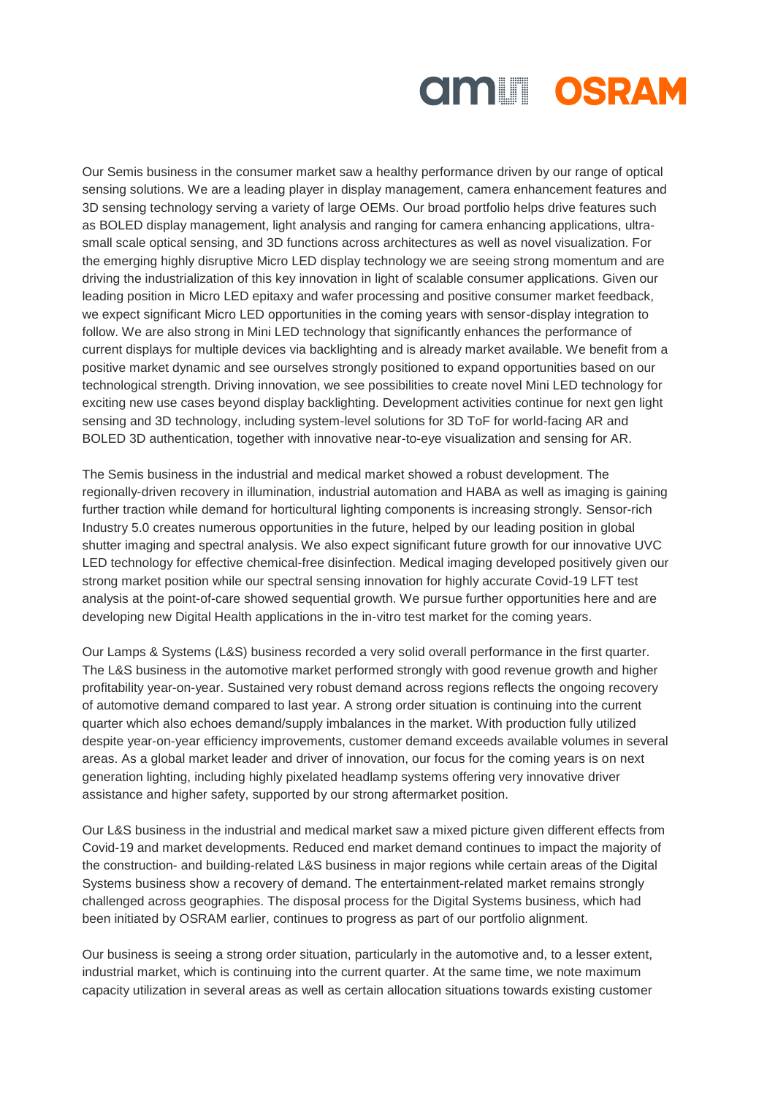

Our Semis business in the consumer market saw a healthy performance driven by our range of optical sensing solutions. We are a leading player in display management, camera enhancement features and 3D sensing technology serving a variety of large OEMs. Our broad portfolio helps drive features such as BOLED display management, light analysis and ranging for camera enhancing applications, ultrasmall scale optical sensing, and 3D functions across architectures as well as novel visualization. For the emerging highly disruptive Micro LED display technology we are seeing strong momentum and are driving the industrialization of this key innovation in light of scalable consumer applications. Given our leading position in Micro LED epitaxy and wafer processing and positive consumer market feedback, we expect significant Micro LED opportunities in the coming years with sensor-display integration to follow. We are also strong in Mini LED technology that significantly enhances the performance of current displays for multiple devices via backlighting and is already market available. We benefit from a positive market dynamic and see ourselves strongly positioned to expand opportunities based on our technological strength. Driving innovation, we see possibilities to create novel Mini LED technology for exciting new use cases beyond display backlighting. Development activities continue for next gen light sensing and 3D technology, including system-level solutions for 3D ToF for world-facing AR and BOLED 3D authentication, together with innovative near-to-eye visualization and sensing for AR.

The Semis business in the industrial and medical market showed a robust development. The regionally-driven recovery in illumination, industrial automation and HABA as well as imaging is gaining further traction while demand for horticultural lighting components is increasing strongly. Sensor-rich Industry 5.0 creates numerous opportunities in the future, helped by our leading position in global shutter imaging and spectral analysis. We also expect significant future growth for our innovative UVC LED technology for effective chemical-free disinfection. Medical imaging developed positively given our strong market position while our spectral sensing innovation for highly accurate Covid-19 LFT test analysis at the point-of-care showed sequential growth. We pursue further opportunities here and are developing new Digital Health applications in the in-vitro test market for the coming years.

Our Lamps & Systems (L&S) business recorded a very solid overall performance in the first quarter. The L&S business in the automotive market performed strongly with good revenue growth and higher profitability year-on-year. Sustained very robust demand across regions reflects the ongoing recovery of automotive demand compared to last year. A strong order situation is continuing into the current quarter which also echoes demand/supply imbalances in the market. With production fully utilized despite year-on-year efficiency improvements, customer demand exceeds available volumes in several areas. As a global market leader and driver of innovation, our focus for the coming years is on next generation lighting, including highly pixelated headlamp systems offering very innovative driver assistance and higher safety, supported by our strong aftermarket position.

Our L&S business in the industrial and medical market saw a mixed picture given different effects from Covid-19 and market developments. Reduced end market demand continues to impact the majority of the construction- and building-related L&S business in major regions while certain areas of the Digital Systems business show a recovery of demand. The entertainment-related market remains strongly challenged across geographies. The disposal process for the Digital Systems business, which had been initiated by OSRAM earlier, continues to progress as part of our portfolio alignment.

Our business is seeing a strong order situation, particularly in the automotive and, to a lesser extent, industrial market, which is continuing into the current quarter. At the same time, we note maximum capacity utilization in several areas as well as certain allocation situations towards existing customer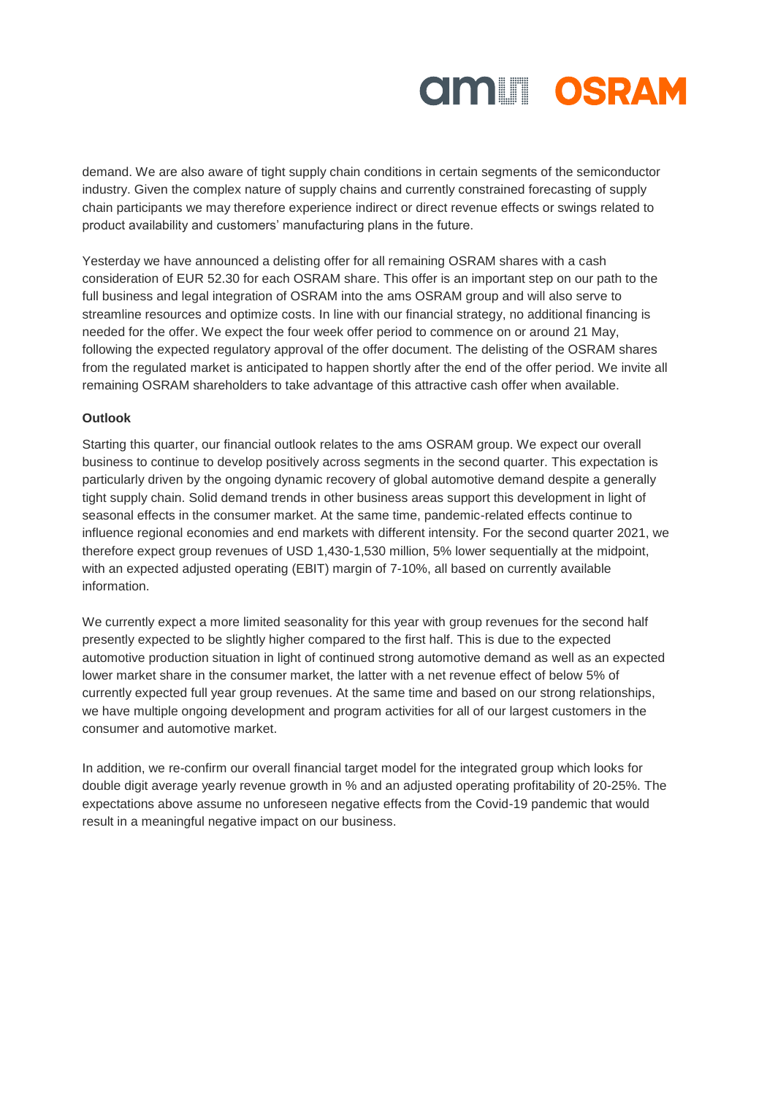

demand. We are also aware of tight supply chain conditions in certain segments of the semiconductor industry. Given the complex nature of supply chains and currently constrained forecasting of supply chain participants we may therefore experience indirect or direct revenue effects or swings related to product availability and customers' manufacturing plans in the future.

Yesterday we have announced a delisting offer for all remaining OSRAM shares with a cash consideration of EUR 52.30 for each OSRAM share. This offer is an important step on our path to the full business and legal integration of OSRAM into the ams OSRAM group and will also serve to streamline resources and optimize costs. In line with our financial strategy, no additional financing is needed for the offer. We expect the four week offer period to commence on or around 21 May, following the expected regulatory approval of the offer document. The delisting of the OSRAM shares from the regulated market is anticipated to happen shortly after the end of the offer period. We invite all remaining OSRAM shareholders to take advantage of this attractive cash offer when available.

#### **Outlook**

Starting this quarter, our financial outlook relates to the ams OSRAM group. We expect our overall business to continue to develop positively across segments in the second quarter. This expectation is particularly driven by the ongoing dynamic recovery of global automotive demand despite a generally tight supply chain. Solid demand trends in other business areas support this development in light of seasonal effects in the consumer market. At the same time, pandemic-related effects continue to influence regional economies and end markets with different intensity. For the second quarter 2021, we therefore expect group revenues of USD 1,430-1,530 million, 5% lower sequentially at the midpoint, with an expected adjusted operating (EBIT) margin of 7-10%, all based on currently available information.

We currently expect a more limited seasonality for this year with group revenues for the second half presently expected to be slightly higher compared to the first half. This is due to the expected automotive production situation in light of continued strong automotive demand as well as an expected lower market share in the consumer market, the latter with a net revenue effect of below 5% of currently expected full year group revenues. At the same time and based on our strong relationships, we have multiple ongoing development and program activities for all of our largest customers in the consumer and automotive market.

In addition, we re-confirm our overall financial target model for the integrated group which looks for double digit average yearly revenue growth in % and an adjusted operating profitability of 20-25%. The expectations above assume no unforeseen negative effects from the Covid-19 pandemic that would result in a meaningful negative impact on our business.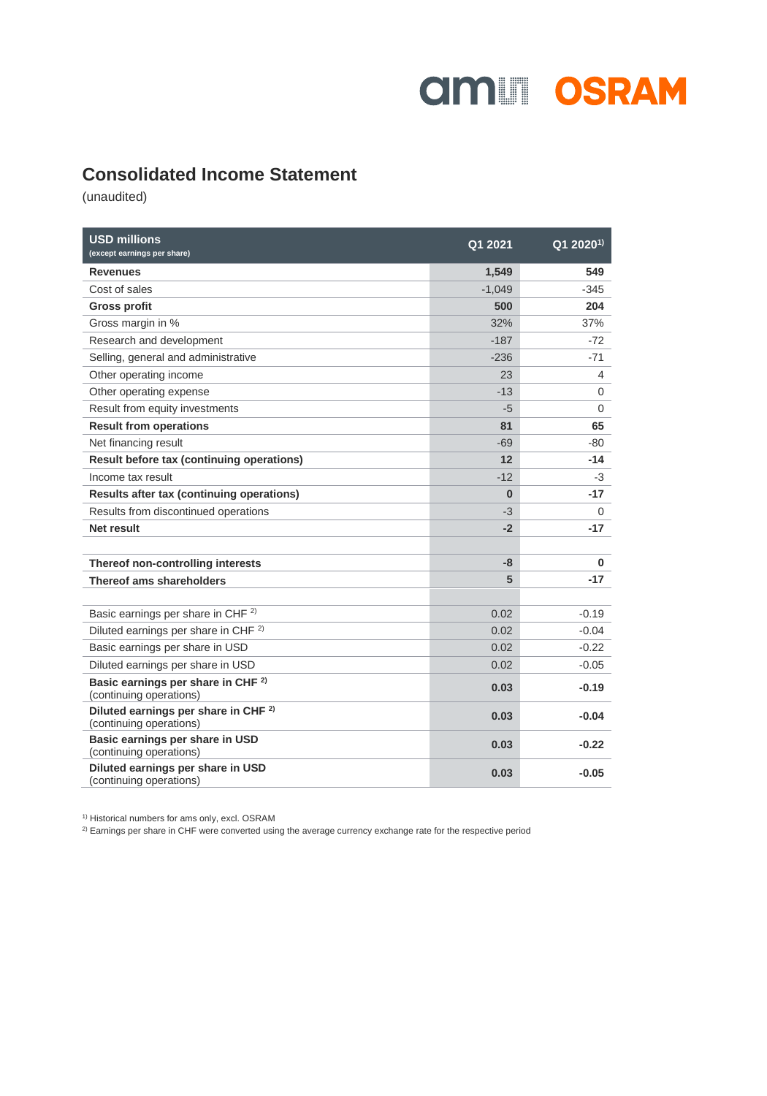

### **Consolidated Income Statement**

(unaudited)

| <b>USD millions</b><br>(except earnings per share)                         | Q1 2021  | Q1 2020 <sup>1)</sup> |
|----------------------------------------------------------------------------|----------|-----------------------|
| <b>Revenues</b>                                                            | 1,549    | 549                   |
| Cost of sales                                                              | $-1.049$ | $-345$                |
| <b>Gross profit</b>                                                        | 500      | 204                   |
| Gross margin in %                                                          | 32%      | 37%                   |
| Research and development                                                   | $-187$   | $-72$                 |
| Selling, general and administrative                                        | $-236$   | $-71$                 |
| Other operating income                                                     | 23       | 4                     |
| Other operating expense                                                    | $-13$    | 0                     |
| Result from equity investments                                             | -5       | $\Omega$              |
| <b>Result from operations</b>                                              | 81       | 65                    |
| Net financing result                                                       | $-69$    | -80                   |
| Result before tax (continuing operations)                                  | 12       | $-14$                 |
| Income tax result                                                          | $-12$    | -3                    |
| Results after tax (continuing operations)                                  | $\bf{0}$ | $-17$                 |
| Results from discontinued operations                                       | $-3$     | 0                     |
| Net result                                                                 | $-2$     | $-17$                 |
|                                                                            |          |                       |
| Thereof non-controlling interests                                          | -8       | $\bf{0}$              |
| Thereof ams shareholders                                                   | 5        | $-17$                 |
|                                                                            |          |                       |
| Basic earnings per share in CHF <sup>2)</sup>                              | 0.02     | $-0.19$               |
| Diluted earnings per share in CHF <sup>2)</sup>                            | 0.02     | $-0.04$               |
| Basic earnings per share in USD                                            | 0.02     | $-0.22$               |
| Diluted earnings per share in USD                                          | 0.02     | $-0.05$               |
| Basic earnings per share in CHF <sup>2)</sup><br>(continuing operations)   | 0.03     | $-0.19$               |
| Diluted earnings per share in CHF <sup>2)</sup><br>(continuing operations) | 0.03     | $-0.04$               |
| Basic earnings per share in USD<br>(continuing operations)                 | 0.03     | $-0.22$               |
| Diluted earnings per share in USD<br>(continuing operations)               | 0.03     | $-0.05$               |

1) Historical numbers for ams only, excl. OSRAM

<sup>2)</sup> Earnings per share in CHF were converted using the average currency exchange rate for the respective period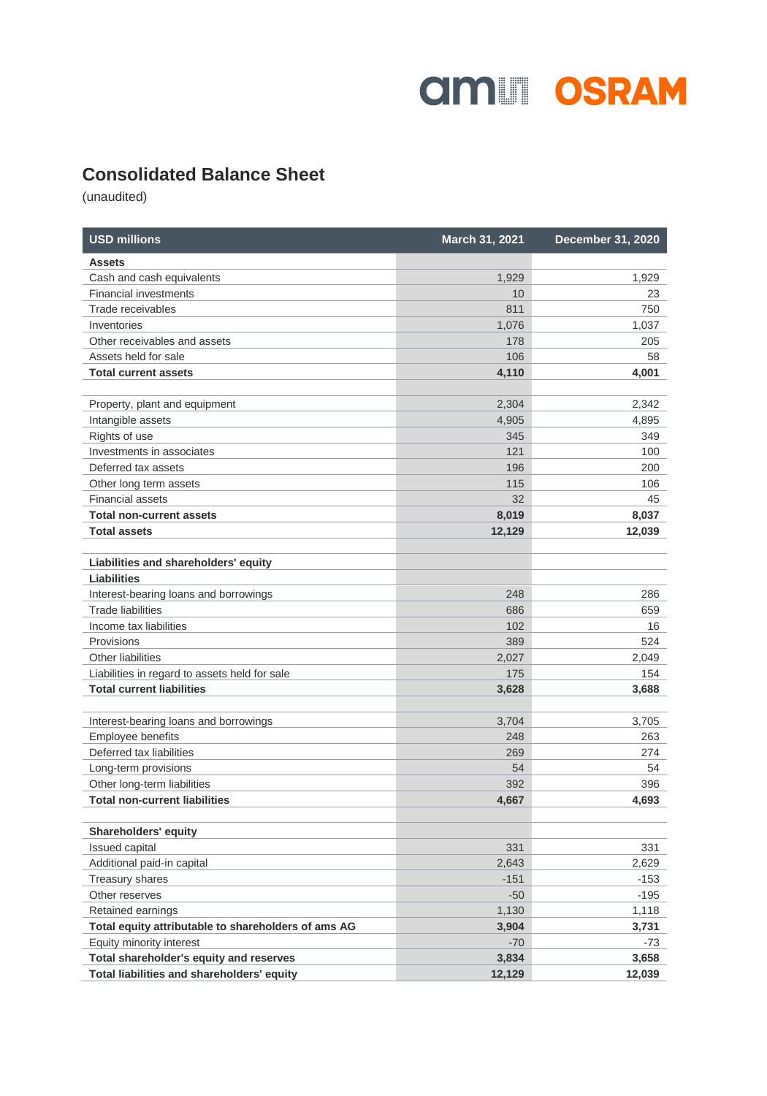

### **Consolidated Balance Sheet**

(unaudited)

| <b>USD millions</b>                                               | March 31, 2021 | <b>December 31, 2020</b> |
|-------------------------------------------------------------------|----------------|--------------------------|
| <b>Assets</b>                                                     |                |                          |
| Cash and cash equivalents                                         | 1,929          | 1,929                    |
| <b>Financial investments</b>                                      | 10             | 23                       |
| Trade receivables                                                 | 811            | 750                      |
| Inventories                                                       | 1,076          | 1,037                    |
| Other receivables and assets                                      | 178            | 205                      |
| Assets held for sale                                              | 106            | 58                       |
| <b>Total current assets</b>                                       | 4,110          | 4,001                    |
|                                                                   |                |                          |
| Property, plant and equipment                                     | 2,304          | 2,342                    |
| Intangible assets                                                 | 4,905          | 4,895                    |
| Rights of use                                                     | 345            | 349                      |
| Investments in associates                                         | 121            | 100                      |
| Deferred tax assets                                               | 196            | 200                      |
| Other long term assets                                            | 115            | 106                      |
| <b>Financial assets</b>                                           | 32             | 45                       |
| <b>Total non-current assets</b>                                   | 8,019          | 8,037                    |
| <b>Total assets</b>                                               | 12,129         | 12,039                   |
|                                                                   |                |                          |
| Liabilities and shareholders' equity<br><b>Liabilities</b>        |                |                          |
|                                                                   | 248            | 286                      |
| Interest-bearing loans and borrowings<br><b>Trade liabilities</b> | 686            | 659                      |
| Income tax liabilities                                            | 102            | 16                       |
| Provisions                                                        | 389            | 524                      |
| Other liabilities                                                 | 2,027          | 2,049                    |
| Liabilities in regard to assets held for sale                     | 175            | 154                      |
| <b>Total current liabilities</b>                                  | 3,628          | 3,688                    |
|                                                                   |                |                          |
| Interest-bearing loans and borrowings                             | 3,704          | 3,705                    |
| Employee benefits                                                 | 248            | 263                      |
| Deferred tax liabilities                                          | 269            | 274                      |
| Long-term provisions                                              | 54             | 54                       |
| Other long-term liabilities                                       | 392            | 396                      |
| <b>Total non-current liabilities</b>                              | 4,667          | 4,693                    |
|                                                                   |                |                          |
| <b>Shareholders' equity</b>                                       |                |                          |
| Issued capital                                                    | 331            | 331                      |
| Additional paid-in capital                                        | 2,643          | 2,629                    |
| <b>Treasury shares</b>                                            | $-151$         | $-153$                   |
| Other reserves                                                    | $-50$          | $-195$                   |
| Retained earnings                                                 | 1,130          | 1,118                    |
| Total equity attributable to shareholders of ams AG               | 3,904          | 3,731                    |
| Equity minority interest                                          | $-70$          | $-73$                    |
| Total shareholder's equity and reserves                           | 3,834          | 3,658                    |
| Total liabilities and shareholders' equity                        | 12,129         | 12,039                   |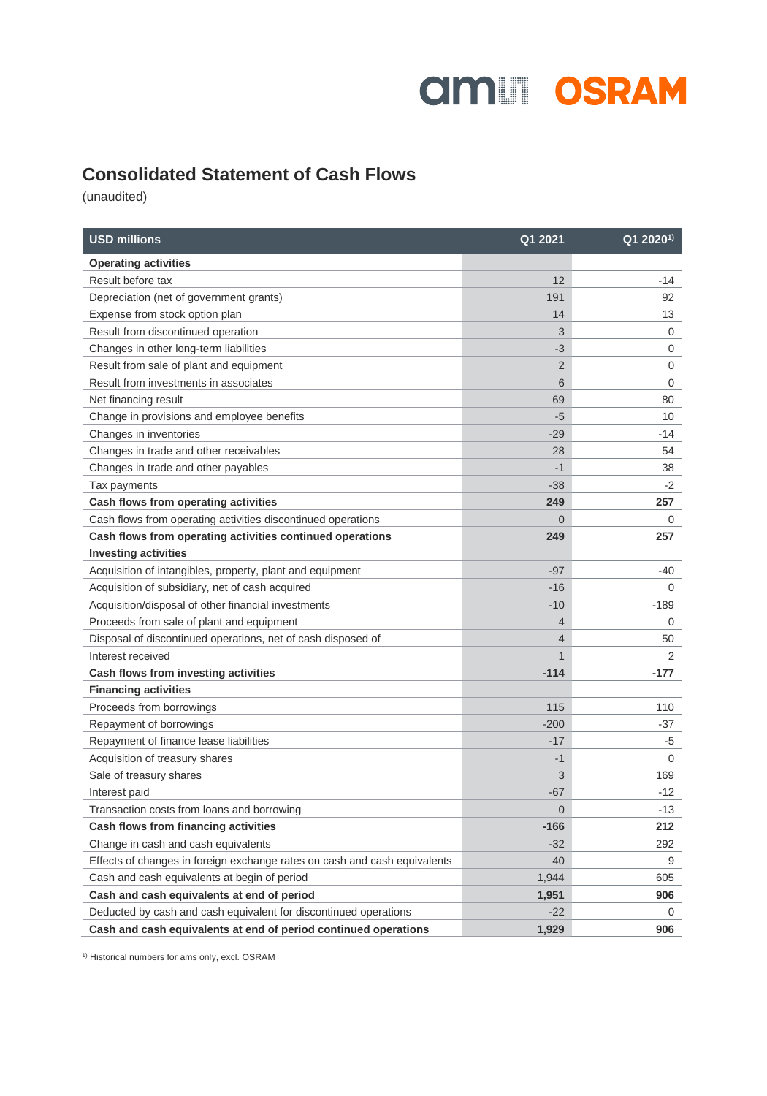# **amill OSRAM**

### **Consolidated Statement of Cash Flows**

(unaudited)

| <b>USD millions</b>                                                       | Q1 2021        | $Q12020^{1}$ |
|---------------------------------------------------------------------------|----------------|--------------|
| <b>Operating activities</b>                                               |                |              |
| Result before tax                                                         | 12             | -14          |
| Depreciation (net of government grants)                                   | 191            | 92           |
| Expense from stock option plan                                            | 14             | 13           |
| Result from discontinued operation                                        | 3              | 0            |
| Changes in other long-term liabilities                                    | -3             | $\mathbf 0$  |
| Result from sale of plant and equipment                                   | $\overline{2}$ | $\mathbf 0$  |
| Result from investments in associates                                     | 6              | $\mathbf 0$  |
| Net financing result                                                      | 69             | 80           |
| Change in provisions and employee benefits                                | $-5$           | 10           |
| Changes in inventories                                                    | $-29$          | -14          |
| Changes in trade and other receivables                                    | 28             | 54           |
| Changes in trade and other payables                                       | $-1$           | 38           |
| Tax payments                                                              | $-38$          | $-2$         |
| Cash flows from operating activities                                      | 249            | 257          |
| Cash flows from operating activities discontinued operations              | $\Omega$       | 0            |
| Cash flows from operating activities continued operations                 | 249            | 257          |
| <b>Investing activities</b>                                               |                |              |
| Acquisition of intangibles, property, plant and equipment                 | $-97$          | -40          |
| Acquisition of subsidiary, net of cash acquired                           | $-16$          | $\mathbf 0$  |
| Acquisition/disposal of other financial investments                       | $-10$          | $-189$       |
| Proceeds from sale of plant and equipment                                 | 4              | 0            |
| Disposal of discontinued operations, net of cash disposed of              | 4              | 50           |
| Interest received                                                         | 1              | 2            |
| Cash flows from investing activities                                      | $-114$         | $-177$       |
| <b>Financing activities</b>                                               |                |              |
| Proceeds from borrowings                                                  | 115            | 110          |
| Repayment of borrowings                                                   | $-200$         | -37          |
| Repayment of finance lease liabilities                                    | $-17$          | -5           |
| Acquisition of treasury shares                                            | $-1$           | $\mathbf 0$  |
| Sale of treasury shares                                                   | 3              | 169          |
| Interest paid                                                             | $-67$          | $-12$        |
| Transaction costs from loans and borrowing                                | 0              | -13          |
| Cash flows from financing activities                                      | $-166$         | 212          |
| Change in cash and cash equivalents                                       | $-32$          | 292          |
| Effects of changes in foreign exchange rates on cash and cash equivalents | 40             | 9            |
| Cash and cash equivalents at begin of period                              | 1,944          | 605          |
| Cash and cash equivalents at end of period                                | 1,951          | 906          |
| Deducted by cash and cash equivalent for discontinued operations          | $-22$          | 0            |
| Cash and cash equivalents at end of period continued operations           | 1,929          | 906          |

1) Historical numbers for ams only, excl. OSRAM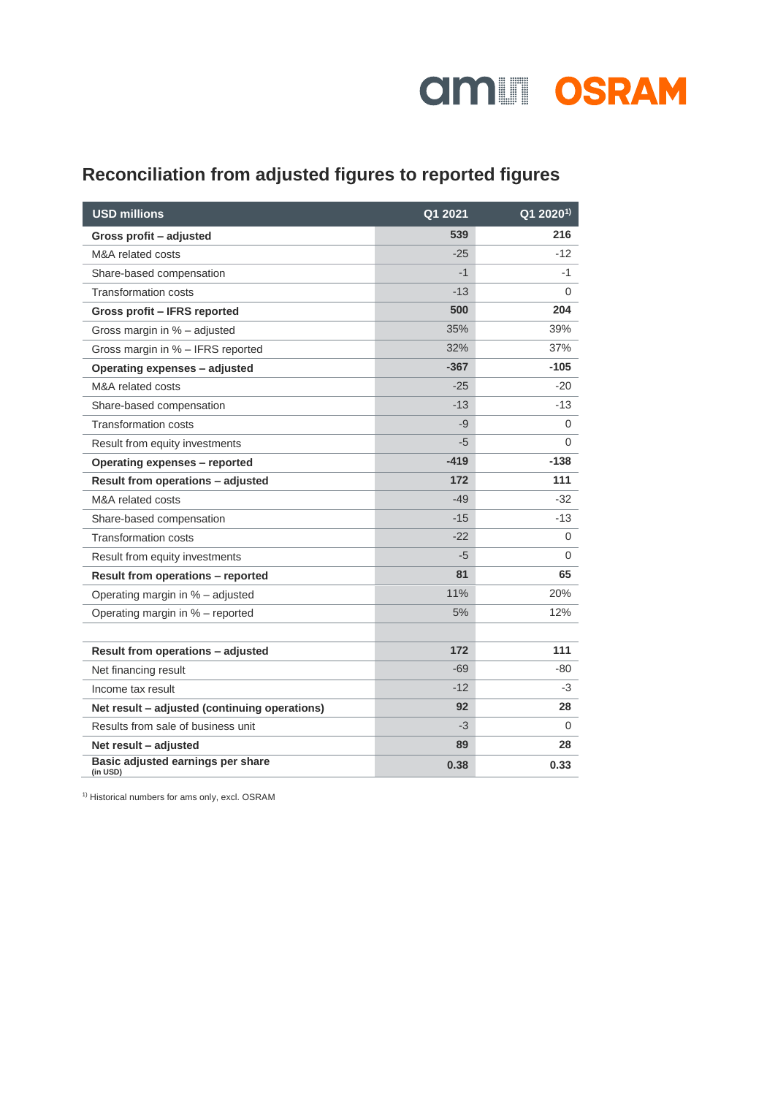

## **Reconciliation from adjusted figures to reported figures**

| <b>USD millions</b>                           | Q1 2021 | Q1 2020 <sup>1)</sup> |
|-----------------------------------------------|---------|-----------------------|
| Gross profit - adjusted                       | 539     | 216                   |
| M&A related costs                             | $-25$   | $-12$                 |
| Share-based compensation                      | $-1$    | -1                    |
| <b>Transformation costs</b>                   | $-13$   | 0                     |
| Gross profit - IFRS reported                  | 500     | 204                   |
| Gross margin in % - adjusted                  | 35%     | 39%                   |
| Gross margin in % - IFRS reported             | 32%     | 37%                   |
| Operating expenses - adjusted                 | $-367$  | $-105$                |
| M&A related costs                             | $-25$   | $-20$                 |
| Share-based compensation                      | $-13$   | $-13$                 |
| <b>Transformation costs</b>                   | -9      | 0                     |
| Result from equity investments                | -5      | 0                     |
| Operating expenses - reported                 | $-419$  | $-138$                |
| Result from operations - adjusted             | 172     | 111                   |
| M&A related costs                             | $-49$   | -32                   |
| Share-based compensation                      | $-15$   | -13                   |
| <b>Transformation costs</b>                   | $-22$   | $\mathbf 0$           |
| Result from equity investments                | -5      | 0                     |
| Result from operations - reported             | 81      | 65                    |
| Operating margin in % - adjusted              | 11%     | 20%                   |
| Operating margin in % - reported              | 5%      | 12%                   |
|                                               |         |                       |
| Result from operations - adjusted             | 172     | 111                   |
| Net financing result                          | $-69$   | -80                   |
| Income tax result                             | $-12$   | -3                    |
| Net result - adjusted (continuing operations) | 92      | 28                    |
| Results from sale of business unit            | -3      | 0                     |
| Net result - adjusted                         | 89      | 28                    |
| Basic adjusted earnings per share<br>(in USD) | 0.38    | 0.33                  |

1) Historical numbers for ams only, excl. OSRAM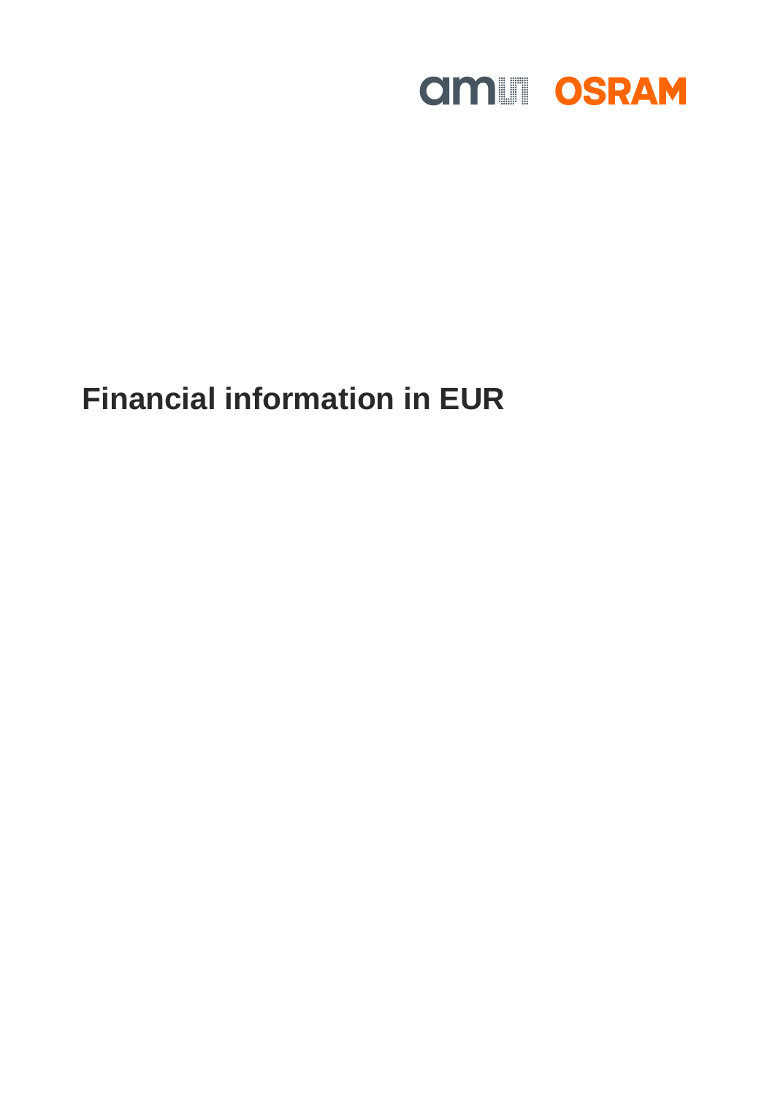

# **Financial information in EUR**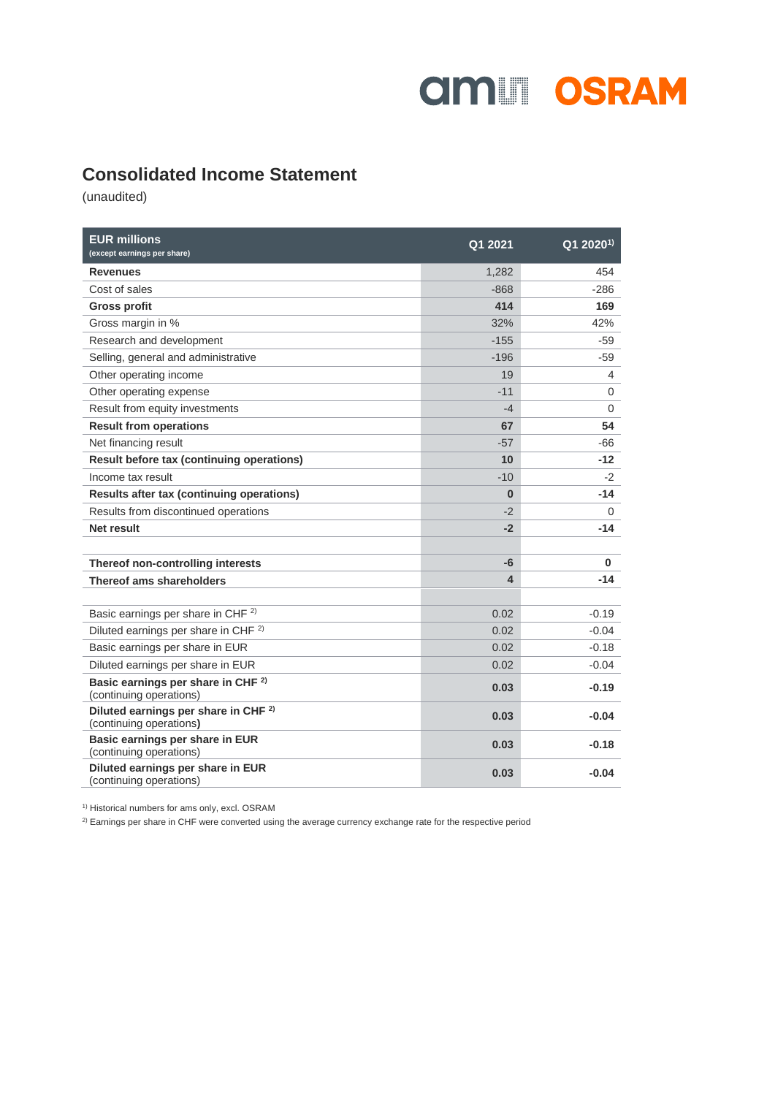

### **Consolidated Income Statement**

(unaudited)

| <b>EUR millions</b><br>(except earnings per share)                         | Q1 2021  | $Q12020^{1}$   |
|----------------------------------------------------------------------------|----------|----------------|
| <b>Revenues</b>                                                            | 1,282    | 454            |
| Cost of sales                                                              | $-868$   | $-286$         |
| <b>Gross profit</b>                                                        | 414      | 169            |
| Gross margin in %                                                          | 32%      | 42%            |
| Research and development                                                   | $-155$   | -59            |
| Selling, general and administrative                                        | $-196$   | -59            |
| Other operating income                                                     | 19       | 4              |
| Other operating expense                                                    | $-11$    | $\mathbf 0$    |
| Result from equity investments                                             | $-4$     | $\overline{0}$ |
| <b>Result from operations</b>                                              | 67       | 54             |
| Net financing result                                                       | $-57$    | $-66$          |
| Result before tax (continuing operations)                                  | 10       | $-12$          |
| Income tax result                                                          | $-10$    | $-2$           |
| Results after tax (continuing operations)                                  | $\bf{0}$ | $-14$          |
| Results from discontinued operations                                       | $-2$     | 0              |
| Net result                                                                 | $-2$     | $-14$          |
|                                                                            |          |                |
| Thereof non-controlling interests                                          | -6       | 0              |
| Thereof ams shareholders                                                   | 4        | $-14$          |
|                                                                            |          |                |
| Basic earnings per share in CHF <sup>2)</sup>                              | 0.02     | $-0.19$        |
| Diluted earnings per share in CHF <sup>2)</sup>                            | 0.02     | $-0.04$        |
| Basic earnings per share in EUR                                            | 0.02     | $-0.18$        |
| Diluted earnings per share in EUR                                          | 0.02     | $-0.04$        |
| Basic earnings per share in CHF <sup>2)</sup><br>(continuing operations)   | 0.03     | $-0.19$        |
| Diluted earnings per share in CHF <sup>2)</sup><br>(continuing operations) | 0.03     | $-0.04$        |
| Basic earnings per share in EUR<br>(continuing operations)                 | 0.03     | $-0.18$        |
| Diluted earnings per share in EUR<br>(continuing operations)               | 0.03     | $-0.04$        |

<sup>1)</sup> Historical numbers for ams only, excl. OSRAM

<sup>2)</sup> Earnings per share in CHF were converted using the average currency exchange rate for the respective period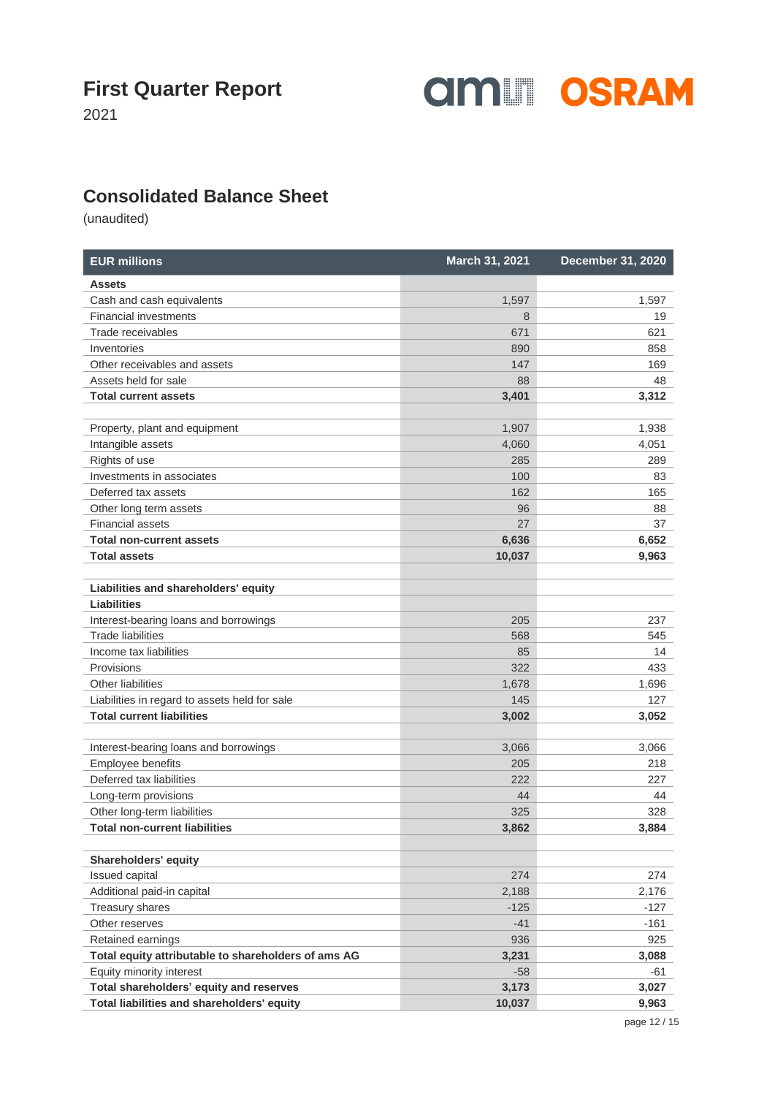**amill OSRAM** 

2021

### **Consolidated Balance Sheet**

(unaudited)

| <b>EUR millions</b>                                 | March 31, 2021 | <b>December 31, 2020</b> |
|-----------------------------------------------------|----------------|--------------------------|
| <b>Assets</b>                                       |                |                          |
| Cash and cash equivalents                           | 1,597          | 1,597                    |
| <b>Financial investments</b>                        | 8              | 19                       |
| Trade receivables                                   | 671            | 621                      |
| Inventories                                         | 890            | 858                      |
| Other receivables and assets                        | 147            | 169                      |
| Assets held for sale                                | 88             | 48                       |
| <b>Total current assets</b>                         | 3,401          | 3,312                    |
| Property, plant and equipment                       | 1.907          | 1.938                    |
| Intangible assets                                   | 4,060          | 4,051                    |
| Rights of use                                       | 285            | 289                      |
| Investments in associates                           | 100            | 83                       |
| Deferred tax assets                                 | 162            | 165                      |
| Other long term assets                              | 96             | 88                       |
| <b>Financial assets</b>                             | 27             | 37                       |
| <b>Total non-current assets</b>                     | 6,636          | 6,652                    |
| <b>Total assets</b>                                 | 10,037         | 9,963                    |
| Liabilities and shareholders' equity                |                |                          |
| <b>Liabilities</b>                                  |                |                          |
| Interest-bearing loans and borrowings               | 205            | 237                      |
| <b>Trade liabilities</b>                            | 568            | 545                      |
| Income tax liabilities                              | 85             | 14                       |
| Provisions                                          | 322            | 433                      |
| Other liabilities                                   | 1,678          | 1,696                    |
| Liabilities in regard to assets held for sale       | 145            | 127                      |
| <b>Total current liabilities</b>                    | 3,002          | 3,052                    |
| Interest-bearing loans and borrowings               | 3,066          | 3,066                    |
| Employee benefits                                   | 205            | 218                      |
| Deferred tax liabilities                            | 222            | 227                      |
| Long-term provisions                                | 44             | 44                       |
| Other long-term liabilities                         | 325            | 328                      |
| <b>Total non-current liabilities</b>                | 3,862          | 3,884                    |
| Shareholders' equity                                |                |                          |
| Issued capital                                      | 274            | 274                      |
| Additional paid-in capital                          | 2,188          | 2,176                    |
| Treasury shares                                     | $-125$         | $-127$                   |
| Other reserves                                      | $-41$          | $-161$                   |
| Retained earnings                                   | 936            | 925                      |
| Total equity attributable to shareholders of ams AG | 3,231          | 3,088                    |
| Equity minority interest                            | $-58$          | -61                      |
| Total shareholders' equity and reserves             | 3,173          | 3,027                    |
| Total liabilities and shareholders' equity          | 10,037         | 9,963                    |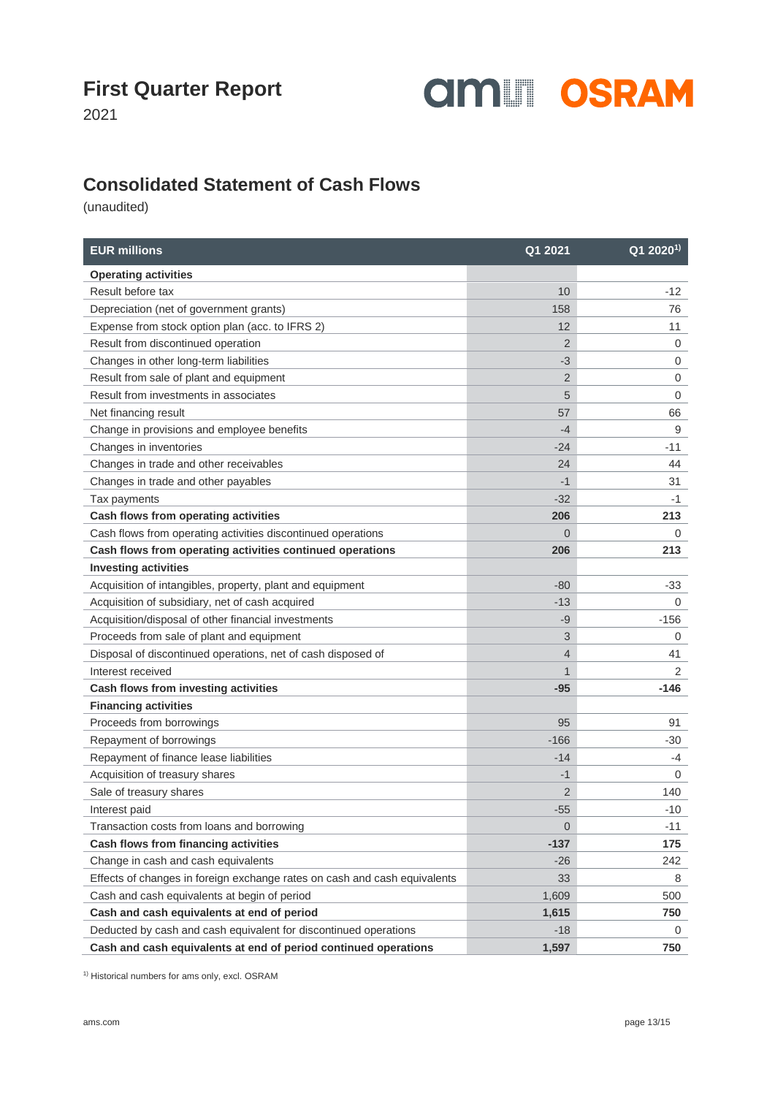

2021

### **Consolidated Statement of Cash Flows**

(unaudited)

| <b>EUR millions</b>                                                       | Q1 2021        | Q1 2020 <sup>1)</sup> |
|---------------------------------------------------------------------------|----------------|-----------------------|
| <b>Operating activities</b>                                               |                |                       |
| Result before tax                                                         | 10             | $-12$                 |
| Depreciation (net of government grants)                                   | 158            | 76                    |
| Expense from stock option plan (acc. to IFRS 2)                           | 12             | 11                    |
| Result from discontinued operation                                        | $\overline{2}$ | $\mathbf 0$           |
| Changes in other long-term liabilities                                    | $-3$           | 0                     |
| Result from sale of plant and equipment                                   | $\overline{2}$ | $\mathbf 0$           |
| Result from investments in associates                                     | 5              | $\mathbf 0$           |
| Net financing result                                                      | 57             | 66                    |
| Change in provisions and employee benefits                                | $-4$           | 9                     |
| Changes in inventories                                                    | $-24$          | $-11$                 |
| Changes in trade and other receivables                                    | 24             | 44                    |
| Changes in trade and other payables                                       | $-1$           | 31                    |
| Tax payments                                                              | $-32$          | $-1$                  |
| Cash flows from operating activities                                      | 206            | 213                   |
| Cash flows from operating activities discontinued operations              | $\Omega$       | 0                     |
| Cash flows from operating activities continued operations                 | 206            | 213                   |
| <b>Investing activities</b>                                               |                |                       |
| Acquisition of intangibles, property, plant and equipment                 | $-80$          | -33                   |
| Acquisition of subsidiary, net of cash acquired                           | $-13$          | $\mathbf 0$           |
| Acquisition/disposal of other financial investments                       | -9             | -156                  |
| Proceeds from sale of plant and equipment                                 | 3              | 0                     |
| Disposal of discontinued operations, net of cash disposed of              | $\overline{4}$ | 41                    |
| Interest received                                                         | $\mathbf{1}$   | 2                     |
| Cash flows from investing activities                                      | $-95$          | $-146$                |
| <b>Financing activities</b>                                               |                |                       |
| Proceeds from borrowings                                                  | 95             | 91                    |
| Repayment of borrowings                                                   | $-166$         | -30                   |
| Repayment of finance lease liabilities                                    | $-14$          | -4                    |
| Acquisition of treasury shares                                            | $-1$           | 0                     |
| Sale of treasury shares                                                   | 2              | 140                   |
| Interest paid                                                             | $-55$          | $-10$                 |
| Transaction costs from loans and borrowing                                | $\mathbf 0$    | $-11$                 |
| Cash flows from financing activities                                      | $-137$         | 175                   |
| Change in cash and cash equivalents                                       | $-26$          | 242                   |
| Effects of changes in foreign exchange rates on cash and cash equivalents | 33             | 8                     |
| Cash and cash equivalents at begin of period                              | 1,609          | 500                   |
| Cash and cash equivalents at end of period                                | 1,615          | 750                   |
| Deducted by cash and cash equivalent for discontinued operations          | $-18$          | 0                     |
| Cash and cash equivalents at end of period continued operations           | 1,597          | 750                   |

<sup>1)</sup> Historical numbers for ams only, excl. OSRAM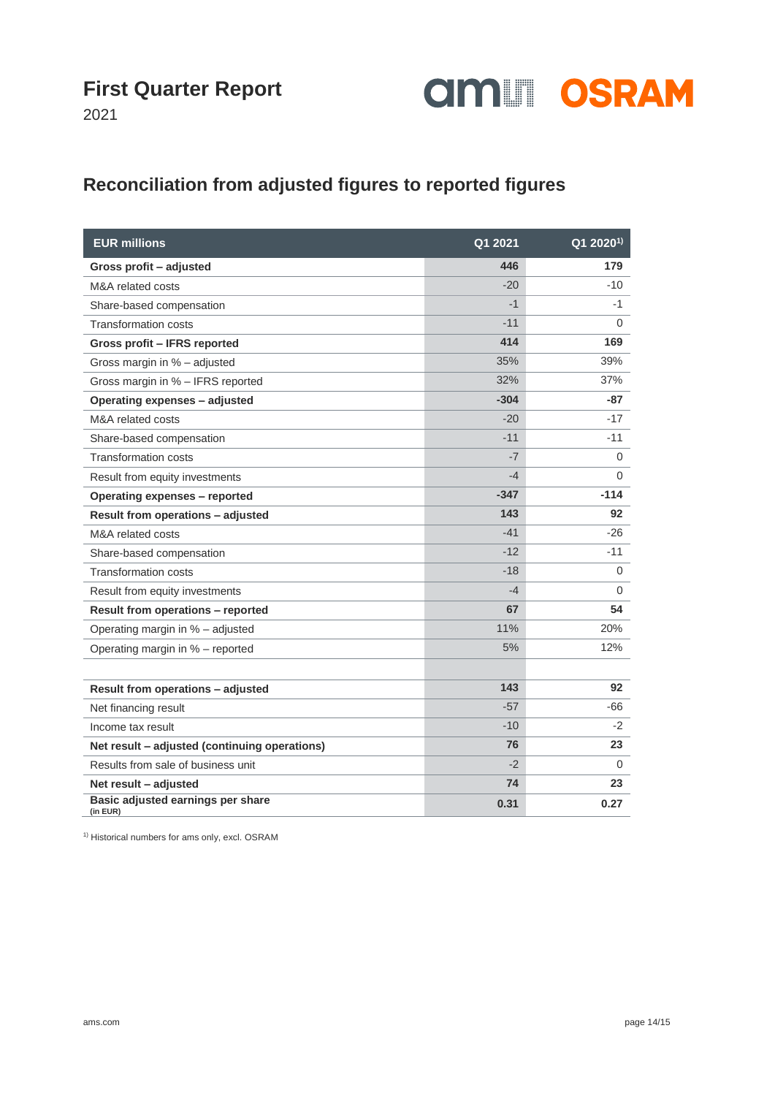

2021

## **Reconciliation from adjusted figures to reported figures**

| <b>EUR millions</b>                           | Q1 2021 | $Q12020^{1}$ |
|-----------------------------------------------|---------|--------------|
| Gross profit - adjusted                       | 446     | 179          |
| M&A related costs                             | $-20$   | $-10$        |
| Share-based compensation                      | $-1$    | $-1$         |
| <b>Transformation costs</b>                   | $-11$   | 0            |
| Gross profit - IFRS reported                  | 414     | 169          |
| Gross margin in % - adjusted                  | 35%     | 39%          |
| Gross margin in % - IFRS reported             | 32%     | 37%          |
| Operating expenses - adjusted                 | $-304$  | $-87$        |
| M&A related costs                             | $-20$   | $-17$        |
| Share-based compensation                      | $-11$   | $-11$        |
| <b>Transformation costs</b>                   | -7      | 0            |
| Result from equity investments                | -4      | $\Omega$     |
| Operating expenses - reported                 | $-347$  | $-114$       |
| Result from operations - adjusted             | 143     | 92           |
| M&A related costs                             | $-41$   | $-26$        |
| Share-based compensation                      | $-12$   | $-11$        |
| <b>Transformation costs</b>                   | $-18$   | 0            |
| Result from equity investments                | $-4$    | $\Omega$     |
| Result from operations - reported             | 67      | 54           |
| Operating margin in % - adjusted              | 11%     | 20%          |
| Operating margin in % - reported              | 5%      | 12%          |
|                                               |         |              |
| Result from operations - adjusted             | 143     | 92           |
| Net financing result                          | $-57$   | -66          |
| Income tax result                             | $-10$   | $-2$         |
| Net result - adjusted (continuing operations) | 76      | 23           |
| Results from sale of business unit            | $-2$    | 0            |
| Net result - adjusted                         | 74      | 23           |
| Basic adjusted earnings per share<br>(in EUR) | 0.31    | 0.27         |

<sup>1)</sup> Historical numbers for ams only, excl. OSRAM